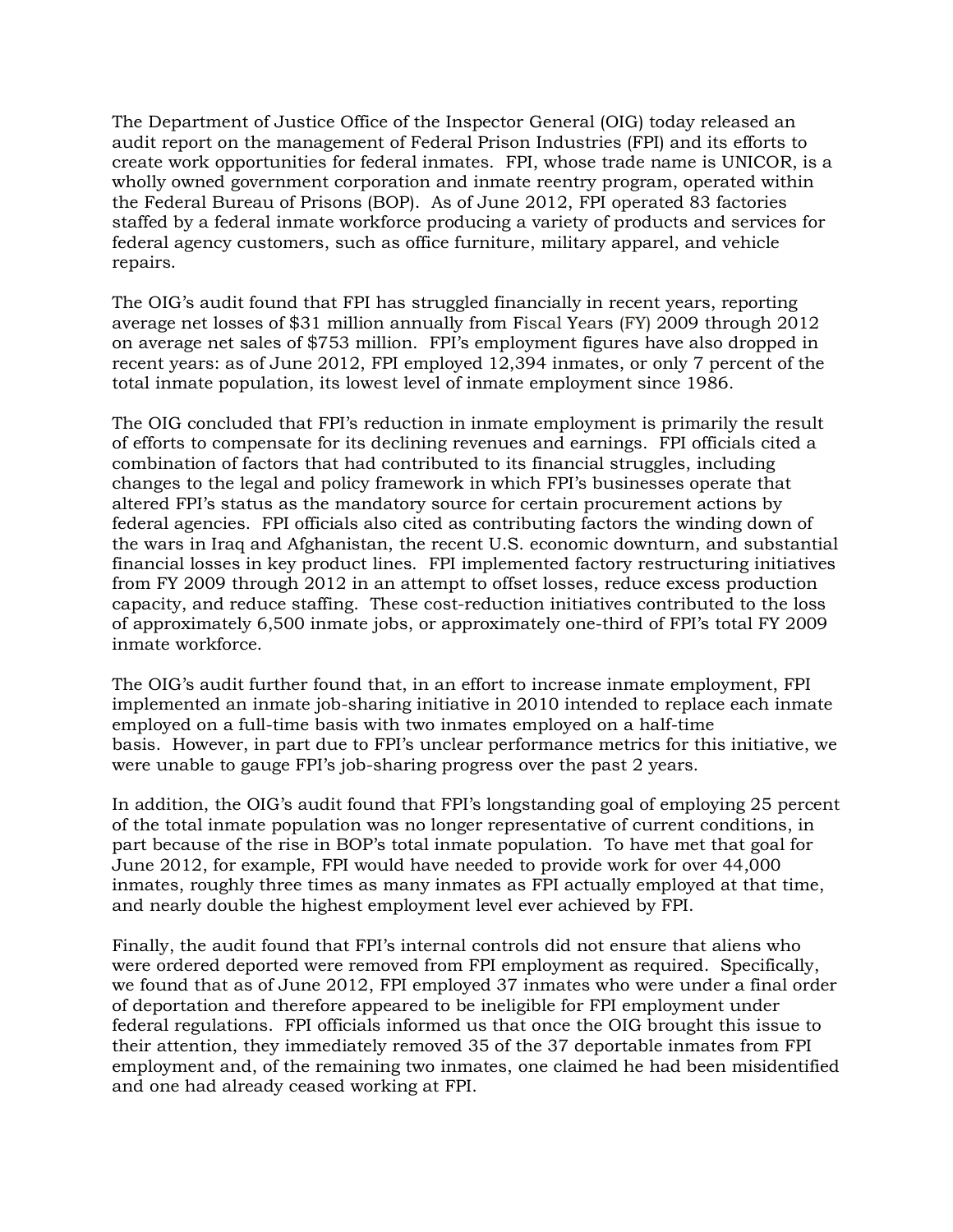The Department of Justice Office of the Inspector General (OIG) today released an audit report on the management of Federal Prison Industries (FPI) and its efforts to create work opportunities for federal inmates. FPI, whose trade name is UNICOR, is a wholly owned government corporation and inmate reentry program, operated within the Federal Bureau of Prisons (BOP). As of June 2012, FPI operated 83 factories staffed by a federal inmate workforce producing a variety of products and services for federal agency customers, such as office furniture, military apparel, and vehicle repairs.

The OIG's audit found that FPI has struggled financially in recent years, reporting average net losses of \$31 million annually from Fiscal Years (FY) 2009 through 2012 on average net sales of \$753 million. FPI's employment figures have also dropped in recent years: as of June 2012, FPI employed 12,394 inmates, or only 7 percent of the total inmate population, its lowest level of inmate employment since 1986.

The OIG concluded that FPI's reduction in inmate employment is primarily the result of efforts to compensate for its declining revenues and earnings. FPI officials cited a combination of factors that had contributed to its financial struggles, including changes to the legal and policy framework in which FPI's businesses operate that altered FPI's status as the mandatory source for certain procurement actions by federal agencies. FPI officials also cited as contributing factors the winding down of the wars in Iraq and Afghanistan, the recent U.S. economic downturn, and substantial financial losses in key product lines. FPI implemented factory restructuring initiatives from FY 2009 through 2012 in an attempt to offset losses, reduce excess production capacity, and reduce staffing. These cost-reduction initiatives contributed to the loss of approximately 6,500 inmate jobs, or approximately one-third of FPI's total FY 2009 inmate workforce.

The OIG's audit further found that, in an effort to increase inmate employment, FPI implemented an inmate job-sharing initiative in 2010 intended to replace each inmate employed on a full-time basis with two inmates employed on a half-time basis. However, in part due to FPI's unclear performance metrics for this initiative, we were unable to gauge FPI's job-sharing progress over the past 2 years.

In addition, the OIG's audit found that FPI's longstanding goal of employing 25 percent of the total inmate population was no longer representative of current conditions, in part because of the rise in BOP's total inmate population. To have met that goal for June 2012, for example, FPI would have needed to provide work for over 44,000 inmates, roughly three times as many inmates as FPI actually employed at that time, and nearly double the highest employment level ever achieved by FPI.

Finally, the audit found that FPI's internal controls did not ensure that aliens who were ordered deported were removed from FPI employment as required. Specifically, we found that as of June 2012, FPI employed 37 inmates who were under a final order of deportation and therefore appeared to be ineligible for FPI employment under federal regulations. FPI officials informed us that once the OIG brought this issue to their attention, they immediately removed 35 of the 37 deportable inmates from FPI employment and, of the remaining two inmates, one claimed he had been misidentified and one had already ceased working at FPI.